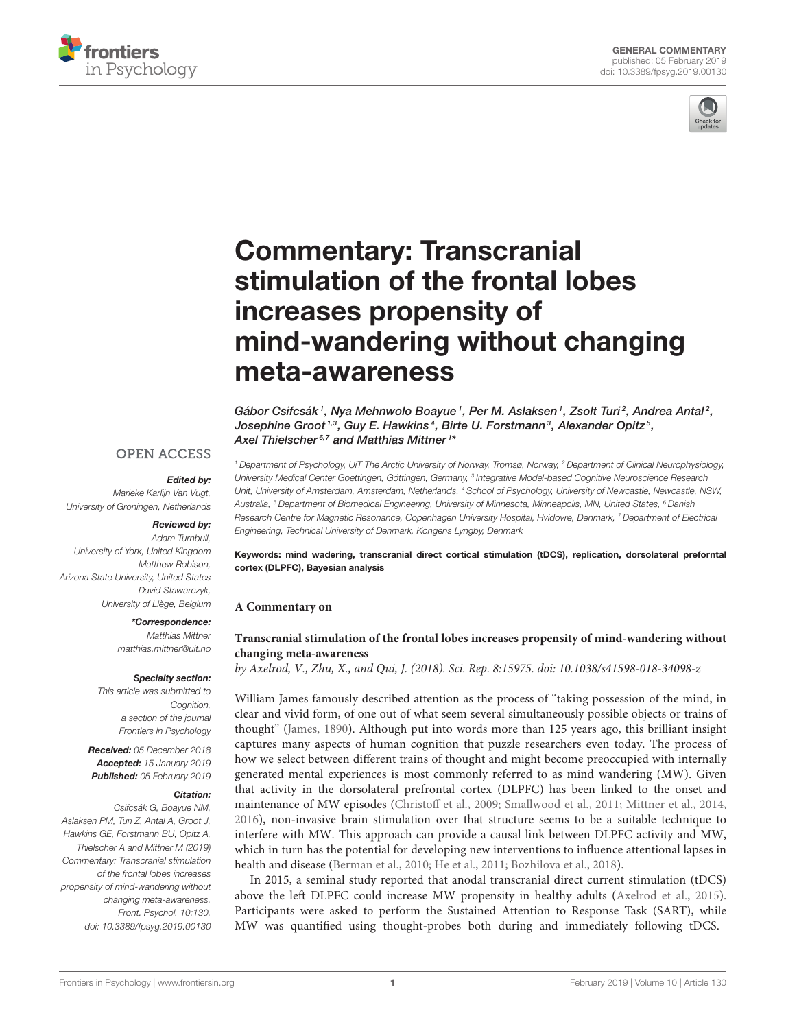



# Commentary: Transcranial stimulation of the frontal lobes increases propensity of [mind-wandering without changing](https://www.frontiersin.org/articles/10.3389/fpsyg.2019.00130/full) meta-awareness

[Gábor Csifcsák](http://loop.frontiersin.org/people/650020/overview)<sup>1</sup>, [Nya Mehnwolo Boayue](http://loop.frontiersin.org/people/669227/overview)<sup>1</sup>, [Per M. Aslaksen](http://loop.frontiersin.org/people/558872/overview)<sup>1</sup>, [Zsolt Turi](http://loop.frontiersin.org/people/97098/overview)<sup>2</sup>, [Andrea Antal](http://loop.frontiersin.org/people/46234/overview)<sup>2</sup>, Josephine Groot<sup>1,3</sup>, [Guy E. Hawkins](http://loop.frontiersin.org/people/244062/overview)<sup>4</sup>, [Birte U. Forstmann](http://loop.frontiersin.org/people/5381/overview)<sup>3</sup>, [Alexander Opitz](http://loop.frontiersin.org/people/187625/overview)<sup>5</sup>, [Axel Thielscher](http://loop.frontiersin.org/people/51582/overview)<sup>6,7</sup> and [Matthias Mittner](http://loop.frontiersin.org/people/27689/overview)<sup>1</sup>\*

### **OPEN ACCESS**

#### Edited by:

Marieke Karlijn Van Vugt, University of Groningen, Netherlands

#### Reviewed by:

Adam Turnbull, University of York, United Kingdom Matthew Robison, Arizona State University, United States David Stawarczyk, University of Liège, Belgium

#### \*Correspondence:

Matthias Mittner [matthias.mittner@uit.no](mailto:matthias.mittner@uit.no)

#### Specialty section:

This article was submitted to Cognition, a section of the journal Frontiers in Psychology

Received: 05 December 2018 Accepted: 15 January 2019 Published: 05 February 2019

#### Citation:

Csifcsák G, Boayue NM, Aslaksen PM, Turi Z, Antal A, Groot J, Hawkins GE, Forstmann BU, Opitz A, Thielscher A and Mittner M (2019) Commentary: Transcranial stimulation of the frontal lobes increases propensity of mind-wandering without changing meta-awareness. Front. Psychol. 10:130. doi: [10.3389/fpsyg.2019.00130](https://doi.org/10.3389/fpsyg.2019.00130)

<sup>1</sup> Department of Psychology, UiT The Arctic University of Norway, Tromsø, Norway, <sup>2</sup> Department of Clinical Neurophysiology, University Medical Center Goettingen, Göttingen, Germany, <sup>3</sup> Integrative Model-based Cognitive Neuroscience Research Unit, University of Amsterdam, Amsterdam, Netherlands, <sup>4</sup> School of Psychology, University of Newcastle, Newcastle, NSW, Australia, <sup>5</sup> Department of Biomedical Engineering, University of Minnesota, Minneapolis, MN, United States, <sup>6</sup> Danish Research Centre for Magnetic Resonance, Copenhagen University Hospital, Hvidovre, Denmark, <sup>7</sup> Department of Electrical Engineering, Technical University of Denmark, Kongens Lyngby, Denmark

Keywords: mind wadering, transcranial direct cortical stimulation (tDCS), replication, dorsolateral preforntal cortex (DLPFC), Bayesian analysis

### **A Commentary on**

### **Transcranial stimulation of the frontal lobes increases propensity of mind-wandering without changing meta-awareness**

by Axelrod, V., Zhu, X., and Qui, J. (2018). Sci. Rep. 8:15975. doi: [10.1038/s41598-018-34098-z](https://doi.org/10.1038/s41598-018-34098-z)

William James famously described attention as the process of "taking possession of the mind, in clear and vivid form, of one out of what seem several simultaneously possible objects or trains of thought" [\(James, 1890\)](#page-2-0). Although put into words more than 125 years ago, this brilliant insight captures many aspects of human cognition that puzzle researchers even today. The process of how we select between different trains of thought and might become preoccupied with internally generated mental experiences is most commonly referred to as mind wandering (MW). Given that activity in the dorsolateral prefrontal cortex (DLPFC) has been linked to the onset and maintenance of MW episodes [\(Christoff et al., 2009;](#page-2-1) [Smallwood et al., 2011;](#page-2-2) [Mittner et al., 2014,](#page-2-3) [2016\)](#page-2-4), non-invasive brain stimulation over that structure seems to be a suitable technique to interfere with MW. This approach can provide a causal link between DLPFC activity and MW, which in turn has the potential for developing new interventions to influence attentional lapses in health and disease [\(Berman et al., 2010;](#page-2-5) [He et al., 2011;](#page-2-6) [Bozhilova et al., 2018\)](#page-2-7).

In 2015, a seminal study reported that anodal transcranial direct current stimulation (tDCS) above the left DLPFC could increase MW propensity in healthy adults [\(Axelrod et al., 2015\)](#page-2-8). Participants were asked to perform the Sustained Attention to Response Task (SART), while MW was quantified using thought-probes both during and immediately following tDCS.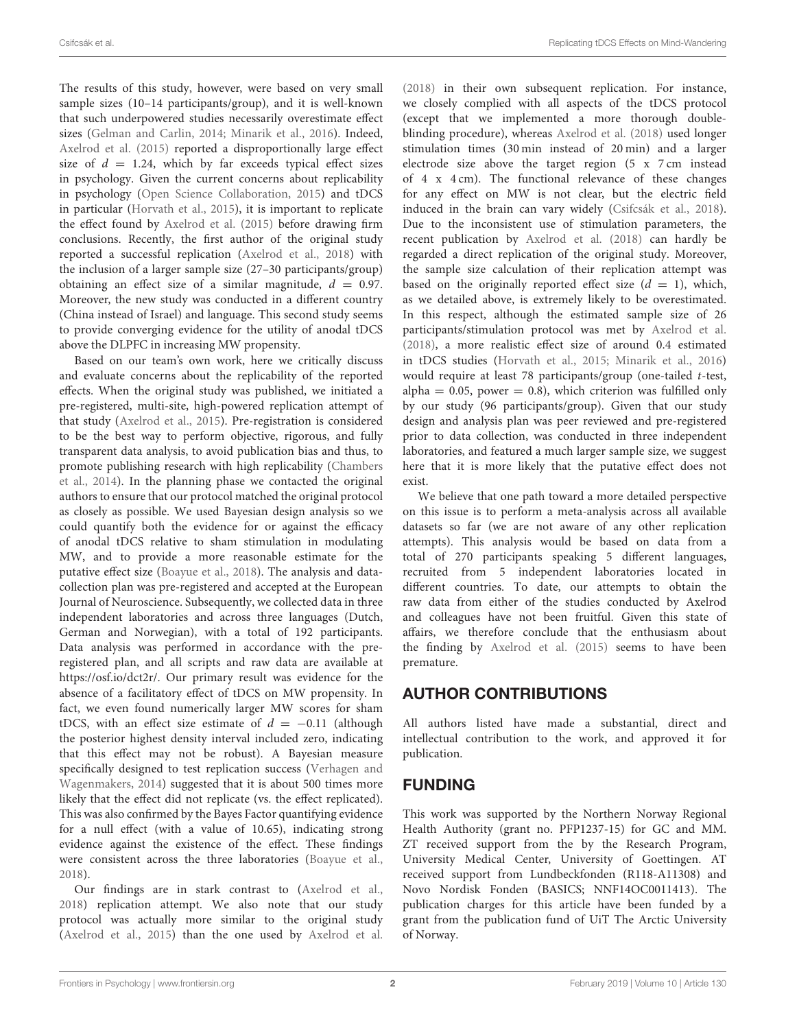The results of this study, however, were based on very small sample sizes (10–14 participants/group), and it is well-known that such underpowered studies necessarily overestimate effect sizes [\(Gelman and Carlin, 2014;](#page-2-9) [Minarik et al., 2016\)](#page-2-10). Indeed, [Axelrod et al. \(2015\)](#page-2-8) reported a disproportionally large effect size of  $d = 1.24$ , which by far exceeds typical effect sizes in psychology. Given the current concerns about replicability in psychology [\(Open Science Collaboration, 2015\)](#page-2-11) and tDCS in particular [\(Horvath et al., 2015\)](#page-2-12), it is important to replicate the effect found by [Axelrod et al. \(2015\)](#page-2-8) before drawing firm conclusions. Recently, the first author of the original study reported a successful replication [\(Axelrod et al., 2018\)](#page-2-13) with the inclusion of a larger sample size (27–30 participants/group) obtaining an effect size of a similar magnitude,  $d = 0.97$ . Moreover, the new study was conducted in a different country (China instead of Israel) and language. This second study seems to provide converging evidence for the utility of anodal tDCS above the DLPFC in increasing MW propensity.

Based on our team's own work, here we critically discuss and evaluate concerns about the replicability of the reported effects. When the original study was published, we initiated a pre-registered, multi-site, high-powered replication attempt of that study [\(Axelrod et al., 2015\)](#page-2-8). Pre-registration is considered to be the best way to perform objective, rigorous, and fully transparent data analysis, to avoid publication bias and thus, to promote publishing research with high replicability (Chambers et al., [2014\)](#page-2-14). In the planning phase we contacted the original authors to ensure that our protocol matched the original protocol as closely as possible. We used Bayesian design analysis so we could quantify both the evidence for or against the efficacy of anodal tDCS relative to sham stimulation in modulating MW, and to provide a more reasonable estimate for the putative effect size [\(Boayue et al., 2018\)](#page-2-15). The analysis and datacollection plan was pre-registered and accepted at the European Journal of Neuroscience. Subsequently, we collected data in three independent laboratories and across three languages (Dutch, German and Norwegian), with a total of 192 participants. Data analysis was performed in accordance with the preregistered plan, and all scripts and raw data are available at [https://osf.io/dct2r/.](https://osf.io/dct2r/) Our primary result was evidence for the absence of a facilitatory effect of tDCS on MW propensity. In fact, we even found numerically larger MW scores for sham tDCS, with an effect size estimate of  $d = -0.11$  (although the posterior highest density interval included zero, indicating that this effect may not be robust). A Bayesian measure specifically designed to test replication success (Verhagen and Wagenmakers, [2014\)](#page-2-16) suggested that it is about 500 times more likely that the effect did not replicate (vs. the effect replicated). This was also confirmed by the Bayes Factor quantifying evidence for a null effect (with a value of 10.65), indicating strong evidence against the existence of the effect. These findings were consistent across the three laboratories [\(Boayue et al.,](#page-2-15) [2018\)](#page-2-15).

Our findings are in stark contrast to [\(Axelrod et al.,](#page-2-13) [2018\)](#page-2-13) replication attempt. We also note that our study protocol was actually more similar to the original study [\(Axelrod et al., 2015\)](#page-2-8) than the one used by [Axelrod et al.](#page-2-13) [\(2018\)](#page-2-13) in their own subsequent replication. For instance, we closely complied with all aspects of the tDCS protocol (except that we implemented a more thorough doubleblinding procedure), whereas [Axelrod et al. \(2018\)](#page-2-13) used longer stimulation times (30 min instead of 20 min) and a larger electrode size above the target region (5 x 7 cm instead of 4 x 4 cm). The functional relevance of these changes for any effect on MW is not clear, but the electric field induced in the brain can vary widely [\(Csifcsák et al., 2018\)](#page-2-17). Due to the inconsistent use of stimulation parameters, the recent publication by [Axelrod et al. \(2018\)](#page-2-13) can hardly be regarded a direct replication of the original study. Moreover, the sample size calculation of their replication attempt was based on the originally reported effect size  $(d = 1)$ , which, as we detailed above, is extremely likely to be overestimated. In this respect, although the estimated sample size of 26 participants/stimulation protocol was met by [Axelrod et al.](#page-2-13) [\(2018\)](#page-2-13), a more realistic effect size of around 0.4 estimated in tDCS studies [\(Horvath et al., 2015;](#page-2-12) [Minarik et al., 2016\)](#page-2-10) would require at least 78 participants/group (one-tailed t-test, alpha =  $0.05$ , power = 0.8), which criterion was fulfilled only by our study (96 participants/group). Given that our study design and analysis plan was peer reviewed and pre-registered prior to data collection, was conducted in three independent laboratories, and featured a much larger sample size, we suggest here that it is more likely that the putative effect does not exist.

We believe that one path toward a more detailed perspective on this issue is to perform a meta-analysis across all available datasets so far (we are not aware of any other replication attempts). This analysis would be based on data from a total of 270 participants speaking 5 different languages, recruited from 5 independent laboratories located in different countries. To date, our attempts to obtain the raw data from either of the studies conducted by Axelrod and colleagues have not been fruitful. Given this state of affairs, we therefore conclude that the enthusiasm about the finding by [Axelrod et al. \(2015\)](#page-2-8) seems to have been premature.

# AUTHOR CONTRIBUTIONS

All authors listed have made a substantial, direct and intellectual contribution to the work, and approved it for publication.

# FUNDING

This work was supported by the Northern Norway Regional Health Authority (grant no. PFP1237-15) for GC and MM. ZT received support from the by the Research Program, University Medical Center, University of Goettingen. AT received support from Lundbeckfonden (R118-A11308) and Novo Nordisk Fonden (BASICS; NNF14OC0011413). The publication charges for this article have been funded by a grant from the publication fund of UiT The Arctic University of Norway.